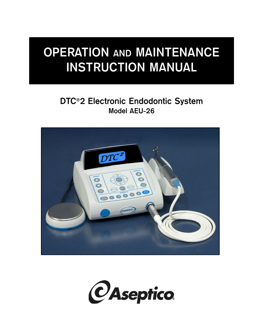# **OPERATION AND MAINTENANCE INSTRUCTION MANUAL**

## **DTC®2 Electronic Endodontic System Model AEU-26**



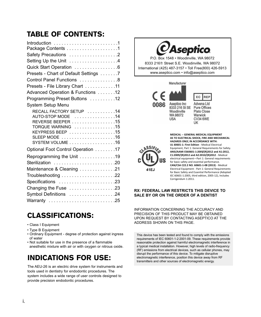## TABLE OF CONTENTS:

| Introduction 1                                                                                                                                                                                                                                 |
|------------------------------------------------------------------------------------------------------------------------------------------------------------------------------------------------------------------------------------------------|
| Safety Precautions 2                                                                                                                                                                                                                           |
| Setting Up the Unit 4                                                                                                                                                                                                                          |
| Quick Start Operation 6                                                                                                                                                                                                                        |
| Presets - Chart of Default Settings 7                                                                                                                                                                                                          |
| Control Panel Functions 8                                                                                                                                                                                                                      |
| Presets - File Library Chart 11                                                                                                                                                                                                                |
| Advanced Operation & Functions 12                                                                                                                                                                                                              |
| Programming Preset Buttons 12                                                                                                                                                                                                                  |
| System Setup Menu                                                                                                                                                                                                                              |
| RECALL FACTORY SETUP 14<br>AUTO-STOP MODE 14<br>REVERSE BEEPER $\ldots \ldots \ldots \ldots \ldots \ldots$ 15<br>TORQUE WARNING 15<br>KEYPRESS BEEP 15<br>SLEEP MODE $\ldots \ldots \ldots \ldots \ldots \ldots \ldots 16$<br>SYSTEM VOLUME 16 |
| Optional Foot Control Operation 17                                                                                                                                                                                                             |
| Reprogramming the Unit 19<br>Sterilization 20                                                                                                                                                                                                  |
| Maintenance & Cleaning 21                                                                                                                                                                                                                      |
|                                                                                                                                                                                                                                                |
| Specifications 23                                                                                                                                                                                                                              |
| Changing the Fuse 23                                                                                                                                                                                                                           |
| Symbol Definitions 24                                                                                                                                                                                                                          |
| Warranty 25                                                                                                                                                                                                                                    |

## CLASSIFICATIONS:

- Class I Equipment
- Type B Equipment
- Ordinary Equipment degree of protection against ingress of water
- Not suitable for use in the presence of a flammable anesthetic mixture with air or with oxygen or nitrous oxide.

## INDICATIONS FOR USE:

The AEU-26 is an electric drive system for instruments and tools used in dentistry for endodontic procedures. The system includes a wide range of user controls designed to provide precision endodontic procedures.

# *CAseptico*

P.O. Box 1548 • Woodinville, WA 98072 8333 216<sup>th</sup> Street S.E. Woodinville, WA 98072 International (425) 487-3157 • Toll Free(800) 426-5913 www.aseptico.com • info@aseptico.com

Manufacturer



EC REP Advena Ltd **Pure Offices Plato Close** Warwick **CV34 6WE** 

UK



**MEDICAL ‐‐ GENERAL MEDICAL EQUIPMENT AS TO ELECTRICAL SHOCK, FIRE AND MECHANICAL HAZARDS ONLY, IN ACCORDANCE WITH: UL 60601‐1: First Edition** ‐ Medical Electrical Equipment, Part 1: General Requirements for Safety. **ANSI/AAMI ES60601‐1:2005/(R)2012 and A1:2012, C1:2009/(R)2012 and A2:2010/(R)2012** ‐ Medical electrical equipment—Part 1: General requirements for basic safety and essential performance. **CAN/CSA C22.2 NO. 60601‐1‐08 (2013)** ‐ Medical Electrical Equipment ‐ Part 1: General Requirements for Basic Safety and Essential Performance (Adopted IEC 60601‐1:2005, third edition, 2005‐12), Includes Corrigendum 1:2011.

#### **RX: FEDERAL LAW RESTRICTS THIS DEVICE TO SALE BY OR ON THE ORDER OF A DENTIST**

INFORMATION CONCERNING THE ACCURACY AND PRECISION OF THIS PRODUCT MAY BE OBTAINED UPON REQUEST BY CONTACTING ASEPTICO AT THE ADDRESS SHOWN ON THIS PAGE.

This device has been tested and found to comply with the emissions requirements of IEC 60601-1-2:2001-09. These requirements provide reasonable protection against harmful electromagnetic interference in a typical medical installation. However, high levels of radio-frequency (RF) emissions from electrical devices, such as cellular phones, may disrupt the performance of this device. To mitigate disruptive electromagnetic interference, position this device away from RF transmitters and other sources of electromagnetic energy.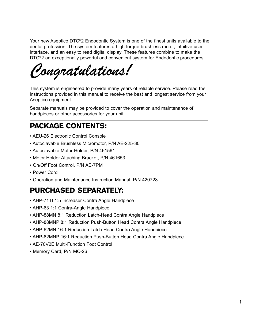Your new Aseptico DTC®2 Endodontic System is one of the finest units available to the dental profession. The system features a high torque brushless motor, intuitive user interface, and an easy to read digital display. These features combine to make the DTC<sup>®</sup>2 an exceptionally powerful and convenient system for Endodontic procedures.

This system is engineered to provide many years of reliable service. Please read the<br>instructions provided in this manual to receive the best and longest service from your instructions provided in this manual to receive the best and longest service from your Aseptico equipment.

Separate manuals may be provided to cover the operation and maintenance of handpieces or other accessories for your unit.

## PACKAGE CONTENTS:

- AEU-26 Electronic Control Console
- Autoclavable Brushless Micromotor, P/N AE-225-30
- Autoclavable Motor Holder, P/N 461561
- Motor Holder Attaching Bracket, P/N 461653
- On/Off Foot Control, P/N AE-7PM
- Power Cord
- Operation and Maintenance Instruction Manual, P/N 420728

## PURCHASED SEPARATELY:

- AHP-71TI 1:5 Increaser Contra Angle Handpiece
- AHP-63 1:1 Contra-Angle Handpiece
- AHP-88MN 8:1 Reduction Latch-Head Contra Angle Handpiece
- AHP-88MNP 8:1 Reduction Push-Button Head Contra Angle Handpiece
- AHP-62MN 16:1 Reduction Latch-Head Contra Angle Handpiece
- AHP-62MNP 16:1 Reduction Push-Button Head Contra Angle Handpiece
- AE-70V2E Multi-Function Foot Control
- Memory Card, P/N MC-26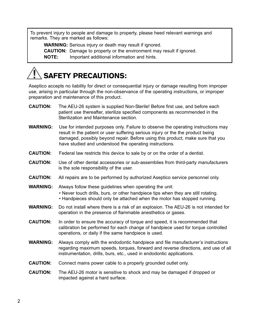To prevent injury to people and damage to property, please heed relevant warnings and remarks. They are marked as follows:

**WARNING:** Serious injury or death may result if ignored.

**CAUTION:** Damage to property or the environment may result if ignored.

**NOTE:** Important additional information and hints.

## SAFETY PRECAUTIONS:

Aseptico accepts no liability for direct or consequential injury or damage resulting from improper use, arising in particular through the non-observance of the operating instructions, or improper preparation and maintenance of this product.

- **CAUTION:** The AEU-26 system is supplied Non-Sterile! Before first use, and before each patient use thereafter, sterilize specified components as recommended in the Sterilization and Maintenance section.
- **WARNING:** Use for intended purposes only. Failure to observe the operating instructions may result in the patient or user suffering serious injury or the the product being damaged, possibly beyond repair. Before using this product, make sure that you have studied and understood the operating instructions.
- **CAUTION:** Federal law restricts this device to sale by or on the order of a dentist.
- **CAUTION:** Use of other dental accessories or sub-assemblies from third-party manufacturers is the sole responsibility of the user.
- **CAUTION:** All repairs are to be performed by authorized Aseptico service personnel only.
- **WARNING:** Always follow these guidelines when operating the unit:
	- Never touch drills, burs, or other handpiece tips when they are still rotating.
	- Handpieces should only be attached when the motor has stopped running.
- **WARNING:** Do not install where there is a risk of an explosion. The AEU-26 is not intended for operation in the presence of flammable anesthetics or gases.
- **CAUTION:** In order to ensure the accuracy of torque and speed, it is recommended that calibration be performed for each change of handpiece used for torque controlled operations, or daily if the same handpiece is used.
- **WARNING:** Always comply with the endodontic handpiece and file manufacturer's instructions regarding maximum speeds, torques, forward and reverse directions, and use of all instrumentation, drills, burs, etc., used in endodontic applications.
- **CAUTION:** Connect mains power cable to a properly grounded outlet only.
- **CAUTION:** The AEU-26 motor is sensitive to shock and may be damaged if dropped or impacted against a hard surface.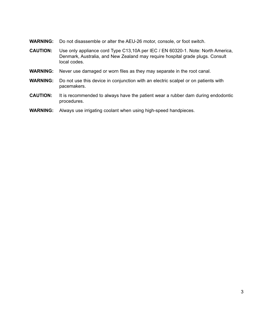- **WARNING:** Do not disassemble or alter the AEU-26 motor, console, or foot switch.
- **CAUTION:** Use only appliance cord Type C13,10A per IEC / EN 60320-1. Note: North America, Denmark, Australia, and New Zealand may require hospital grade plugs. Consult local codes.
- **WARNING:** Never use damaged or worn files as they may separate in the root canal.
- **WARNING:** Do not use this device in conjunction with an electric scalpel or on patients with pacemakers.
- **CAUTION:** It is recommended to always have the patient wear a rubber dam during endodontic procedures.
- **WARNING:** Always use irrigating coolant when using high-speed handpieces.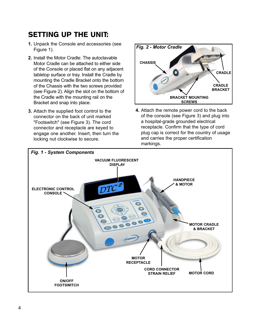## SETTING UP THE UNIT:

- **1.** Unpack the Console and accessories (see Figure 1).
- **2.** Install the Motor Cradle: The autoclavable Motor Cradle can be attached to either side of the Console or placed flat on any adjacent tabletop surface or tray. Install the Cradle by mounting the Cradle Bracket onto the bottom of the Chassis with the two screws provided (see Figure 2). Align the slot on the bottom of the Cradle with the mounting rail on the Bracket and snap into place.
- **3.** Attach the supplied foot control to the connector on the back of unit marked "Footswitch" (see Figure 3). The cord connector and receptacle are keyed to engage one another. Insert, then turn the locking nut clockwise to secure.



**4.** Attach the remote power cord to the back of the console (see Figure 3) and plug into a hospital-grade grounded electrical receptacle. Confirm that the type of cord plug cap is correct for the country of usage and carries the proper certification markings.

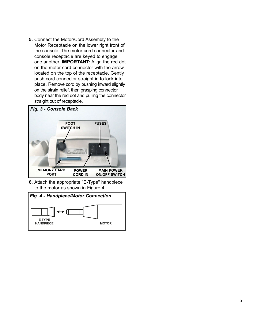**5.** Connect the Motor/Cord Assembly to the Motor Receptacle on the lower right front of the console. The motor cord connector and console receptacle are keyed to engage one another. **IMPORTANT:** Align the red dot on the motor cord connector with the arrow located on the top of the receptacle. Gently push cord connector straight in to lock into place. Remove cord by pushing inward slightly on the strain relief, then grasping connector body near the red dot and pulling the connector straight out of receptacle.



**6.** Attach the appropriate "E-Type" handpiece to the motor as shown in Figure 4.

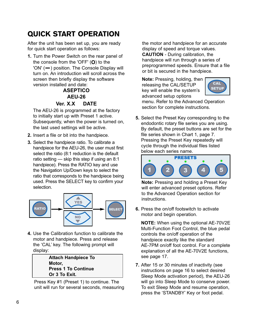## QUICK START OPERATION

After the unit has been set up, you are ready for quick start operation as follows:

**1.** Turn the Power Switch on the rear panel of the console from the 'OFF' (**O**) to the 'ON' (-) position. The Console Display will turn on. An introduction will scroll across the screen then briefly display the software version installed and date:

#### **ASEPTICO AEU-26 Ver. X.X DATE**

The AEU-26 is programmed at the factory to initially start up with Preset 1 active. Subsequently, when the power is turned on, the last used settings will be active.

- **2.** Insert a file or bit into the handpiece.
- **3.** Select the handpiece ratio. To calibrate a handpiece for the AEU-26, the user must first select the ratio (8:1 reduction is the default ratio setting — skip this step if using an 8:1 handpiece). Press the RATIO key and use the Navigation Up/Down keys to select the ratio that corresponds to the handpiece being used. Press the SELECT key to confirm your selection.



**4.** Use the Calibration function to calibrate the motor and handpiece. Press and release the 'CAL' key. The following prompt will display:

> **Attach Handpiece To Motor, Press 1 To Continue Or 3 To Exit.**

Press Key #1 (Preset 1) to continue. The unit will run for several seconds, measuring the motor and handpiece for an accurate display of speed and torque values. **CAUTION** - During calibration, the handpiece will run through a series of preprogrammed speeds. Ensure that a file or bit is secured in the handpiece.

**Note:** Pressing, holding, then releasing the CAL/SETUP key will enable the system's advanced setup options



menu. Refer to the Advanced Operation section for complete instructions.

**5.** Select the Preset Key corresponding to the endodontic rotary file series you are using. By default, the preset buttons are set for the file series shown in Chart 1, page 7. Pressing the Preset Key repeatedly will cycle through the individual files listed below each series name.



**Note:** Pressing and holding a Preset Key will enter advanced preset options. Refer to the Advanced Operation section for instructions.

**6.** Press the on/off footswitch to activate motor and begin operation.

**NOTE:** When using the optional AE-70V2E Multi-Function Foot Control, the blue pedal controls the on/off operation of the handpiece exactly like the standard AE-7PM on/off foot control. For a complete explanation of all the AE-70V2E functions, see page 17.

**7.** After 15 or 30 minutes of inactivity (see instructions on page 16 to select desired Sleep Mode activation period), the AEU-26 will go into Sleep Mode to conserve power. To exit Sleep Mode and resume operation, press the 'STANDBY' Key or foot pedal.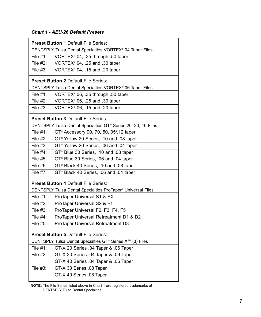#### *Chart 1 - AEU-26 Default Presets*

| DENTSPLY Tulsa Dental Specialties VORTEX® 04 Taper Files<br>File $#1$ :<br>VORTEX® 04, .35 through .50 taper<br>File #2:<br>VORTEX <sup>®</sup> 04, .25 and .30 taper<br>File $#3:$<br>VORTEX® 04, .15 and .20 taper |  |  |
|----------------------------------------------------------------------------------------------------------------------------------------------------------------------------------------------------------------------|--|--|
|                                                                                                                                                                                                                      |  |  |
|                                                                                                                                                                                                                      |  |  |
|                                                                                                                                                                                                                      |  |  |
|                                                                                                                                                                                                                      |  |  |
| <b>Preset Button 2 Default File Series:</b>                                                                                                                                                                          |  |  |
| DENTSPLY Tulsa Dental Specialties VORTEX® 06 Taper Files                                                                                                                                                             |  |  |
| File $#1$ :<br>VORTEX® 06, .35 through .50 taper                                                                                                                                                                     |  |  |
| File $#2$ :<br>VORTEX® 06, .25 and .30 taper                                                                                                                                                                         |  |  |
| File $#3$ :<br>VORTEX® 06, .15 and .20 taper                                                                                                                                                                         |  |  |
| <b>Preset Button 3 Default File Series:</b>                                                                                                                                                                          |  |  |
| DENTSPLY Tulsa Dental Specialties GT® Series 20, 30, 40 Files                                                                                                                                                        |  |  |
| File #1:<br>GT <sup>®</sup> Accessory 90, 70, 50, 35/.12 taper                                                                                                                                                       |  |  |
| File $#2$ :<br>GT <sup>®</sup> Yellow 20 Series, .10 and .08 taper                                                                                                                                                   |  |  |
| File $#3$ :<br>GT <sup>®</sup> Yellow 20 Series, .06 and .04 taper                                                                                                                                                   |  |  |
| File $#4$ :<br>GT <sup>®</sup> Blue 30 Series, .10 and .08 taper                                                                                                                                                     |  |  |
| File #5:<br>GT <sup>®</sup> Blue 30 Series, .06 and .04 taper                                                                                                                                                        |  |  |
| File #6:<br>GT <sup>®</sup> Black 40 Series, .10 and .08 taper                                                                                                                                                       |  |  |
| File #7:<br>GT <sup>®</sup> Black 40 Series, .06 and .04 taper                                                                                                                                                       |  |  |
| <b>Preset Button 4 Default File Series:</b>                                                                                                                                                                          |  |  |
| DENTSPLY Tulsa Dental Specialties ProTaper® Universal Files                                                                                                                                                          |  |  |
| File $#1$ :<br>ProTaper Universal S1 & SX                                                                                                                                                                            |  |  |
| File $#2$ :<br>ProTaper Universal S2 & F1                                                                                                                                                                            |  |  |
| File $#3$ :<br>ProTaper Universal F2, F3, F4, F5                                                                                                                                                                     |  |  |
| File $#4$ :<br>ProTaper Universal Retreatment D1 & D2                                                                                                                                                                |  |  |
| File #5:<br>ProTaper Universal Retreatment D3                                                                                                                                                                        |  |  |
| <b>Preset Button 5 Default File Series:</b>                                                                                                                                                                          |  |  |
| DENTSPLY Tulsa Dental Specialties GT® Series X™ (3) Files                                                                                                                                                            |  |  |
| File #1:<br>GT-X 20 Series .04 Taper & .06 Taper                                                                                                                                                                     |  |  |
| File $#2$ :<br>GT-X 30 Series .04 Taper & .06 Taper                                                                                                                                                                  |  |  |
| GT-X 40 Series .04 Taper & .06 Taper                                                                                                                                                                                 |  |  |
| File $#3$ :<br>GT-X 30 Series .08 Taper                                                                                                                                                                              |  |  |
| GT-X 40 Series .08 Taper                                                                                                                                                                                             |  |  |

**NOTE:** The File Series listed above in Chart 1 are registered trademarks of DENTSPLY Tulsa Dental Specialties.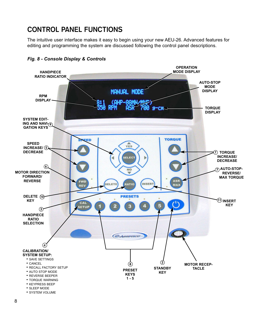## **CONTROL PANEL FUNCTIONS**

The intuitive user interface makes it easy to begin using your new AEU-26. Advanced features for editing and programming the system are discussed following the control panel descriptions.



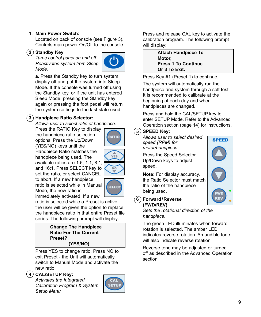#### **1. Main Power Switch:**

Located on back of console (see Figure 3). Controls main power On/Off to the console.

#### **2 Standby Key**

*Turns control panel on and off. Reactivates system from Sleep Mode.*



**a.** Press the Standby key to turn system display off and put the system into Sleep Mode. If the console was turned off using the Standby key, or if the unit has entered Sleep Mode, pressing the Standby key again or pressing the foot pedal will return the system settings to the last state used.

#### **3 Handpiece Ratio Selector:**

*Allows user to select ratio of handpiece.*

Press the RATIO Key to display the handpiece ratio selection options. Press the Up/Down (YES/NO) keys until the Handpiece Ratio matches the handpiece being used. The available ratios are 1:5, 1:1, 8:1, and 16:1. Press SELECT key to set the ratio, or select CANCEL



**RATIO** 

 $\frac{A}{YES}$ 

to abort. If a new handpiece ratio is selected while in Manual Mode, the new ratio is immediately activated. If a new

ratio is selected while a Preset is active, the user will be given the option to replace the handpiece ratio in that entire Preset file series. The following prompt will display:

#### **Change The Handpiece Ratio For The Current Preset? (YES/NO)**

Press YES to change ratio. Press NO to exit Preset - the Unit will automatically switch to Manual Mode and activate the new ratio.

#### **4 CAL/SETUP Key:**

*Activates the Integrated Calibration Program & System Setup Menu*



Press and release CAL key to activate the calibration program. The following prompt will display:

> **Attach Handpiece To Motor, Press 1 To Continue Or 3 To Exit.**

Press Key #1 (Preset 1) to continue.

The system will automatically run the handpiece and system through a self test. It is recommended to calibrate at the beginning of each day and when handpieces are changed.

Press and hold the CAL/SETUP key to enter SETUP Mode. Refer to the Advanced Operation section (page 14) for instructions.

#### **5 SPEED Key:**

*Allows user to select desired speed (RPM) for motor/handpiece.* 

Press the Speed Selector Up/Down keys to adjust speed.

**Note:** For display accuracy, the Ratio Selector must match the ratio of the handpiece being used.



**6 Forward/Reverse (FWD/REV)**:

> *Sets the rotational direction of the handpiece.*

The green LED illuminates when forward rotation is selected. The amber LED indicates reverse rotation. An audible tone will also indicate reverse rotation.

Reverse tone may be adjusted or turned off as described in the Advanced Operation section.

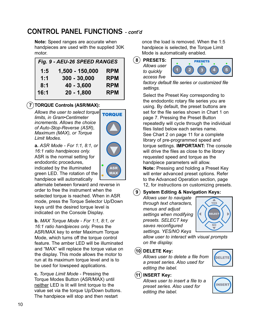## **CONTROL PANEL FUNCTIONS - cont'd**

**Note:** Speed ranges are accurate when handpieces are used with the supplied 30K motor.

|      | Fig. 9 - AEU-26 SPEED RANGES |            |
|------|------------------------------|------------|
| 1:5  | 1,500 - 150,000              | <b>RPM</b> |
| 1:1  | 300 - 30,000                 | <b>RPM</b> |
| 8:1  | $40 - 3,600$                 | <b>RPM</b> |
| 16:1 | $20 - 1,800$                 | <b>RPM</b> |

#### **7 TORQUE Controls (ASR/MAX):**

*Allows the user to select torque limits, in Gram•Centimeter increments. Allows the choice of Auto-Stop-Reverse (ASR), Maximum (MAX), or Torque Limit Modes.*



ASR **MAX** 

**a.** *ASR Mode - For 1:1, 8:1, or 16:1 ratio handpieces only.* ASR is the normal setting for endodontic procedures, indicated by the illuminated green LED. The rotation of the handpiece will automatically

alternate between forward and reverse in order to free the instrument when the selected torque is reached. When in ASR mode, press the Torque Selector Up/Down keys until the desired torque level is indicated on the Console Display.

**b.** *MAX Torque Mode* - *For 1:1, 8:1, or 16:1 ratio handpieces only.* Press the ASR/MAX key to enter Maximum Torque Mode, which turns off the torque control feature. The amber LED will be illuminated and "MAX" will replace the torque value on the display. This mode allows the motor to run at its maximum torque level and is to be used for lowspeed applications.

**c.** *Torque Limit Mode* - Pressing the Torque Modes Button (ASR/MAX) until neither LED is lit will limit torque to the value set via the torque Up/Down buttons. The handpiece will stop and then restart

once the load is removed. When the 1:5 handpiece is selected, the Torque Limit Mode is automatically enabled.

**8 PRESETS:** *Allows user*

> *to quickly access five*



*factory default file series or customized file settings.*

Select the Preset Key corresponding to the endodontic rotary file series you are using. By default, the preset buttons are set for the file series shown in Chart 1 on page 7. Pressing the Preset Button repeatedly will cycle through the individual files listed below each series name. See Chart 2 on page 11 for a complete library of pre-programmed speed and torque settings. **IMPORTANT:** The console will drive the files as close to the library requested speed and torque as the handpiece parameters will allow.

**Note:** Pressing and holding a Preset Key will enter advanced preset options. Refer to the Advanced Operation section, page 12, for instructions on customizing presets.

**9 System Editing & Navigation Keys:** 

*Allows user to navigate through text characters, menus and adjust settings when modifying presets. SELECT key saves reconfigured settings. YES/NO Keys*



*allow user to interact with visual prompts on the display.*

#### **10 DELETE Key:**

*Allows user to delete a file from a preset series. Also used for editing the label.*

#### **11 INSERT Key:**

*Allows user to insert a file to a preset series. Also used for editing the label.*



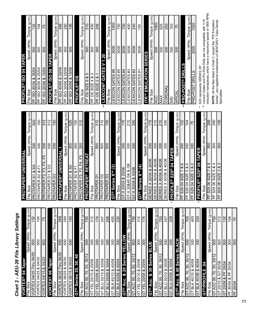# Chart 2 - AEU-26 File Library Settings *Chart 2 - AEU-26 File Library Settings*

| Taper<br><b>VORTEX® 04</b><br>Size<br>ہے<br>أ⊥ّ                     | Speed (RPM)             | Torque (g-cm)     |
|---------------------------------------------------------------------|-------------------------|-------------------|
| <b>Thru 04/50</b><br>04/35<br>VORTEX                                | 500                     | 132               |
| & 04/30<br>04/25<br><b>VORTEX</b>                                   | 500                     | 104               |
| VORTEX 04/15 & 04/20                                                | 500                     | 75                |
| Taper<br>VORTEX <sup>®</sup> 06                                     |                         |                   |
| Size<br>e⊪<br>⊔                                                     | Speed (RPM)             | Torque (g-cm)     |
| <b>Thru 06/50</b><br>06/35<br>VORTEX                                | 500                     | 368               |
| 06/30<br>త<br>06/25<br>VORTEX                                       | 500                     | 290               |
| 06/20<br>∞<br>06/15<br>VORTEX                                       | $rac{1}{2}$             | 195               |
| 30, 40<br>20,<br><b>Series</b><br>$\frac{1}{2}$                     |                         |                   |
| Size<br>ΕÏθ                                                         | Speed (RPM)             | ίшρ-<br>Torque (g |
| 35/12<br>50,<br>70,<br>8<br><b>ACC</b><br>5                         | 500                     | 700               |
| 20/08<br>20/10 &<br>λEΓ<br>5                                        | 300                     | 312               |
| 20/04<br>త<br>20/06<br>Σ,<br>5                                      | 300                     | 174               |
| 30/08<br>య<br>30/10<br>$\frac{1}{10}$<br>5                          | 300                     | 347               |
| 30/04<br>30/06 &<br><b>BLU</b><br>GT                                | 300                     | 208               |
| 40/08<br>య<br>40/10<br><b>BLK</b><br>5                              | 300                     | 405               |
| 40/04<br>∞<br>40/06<br><b>BLK</b><br>5                              | 300                     | 230               |
| GT® Acc. & 20 Series                                                | ELLO                    |                   |
| Size<br>e⊪                                                          | (RPM)<br>Speed          | Torque (g-cm)     |
| 35/12<br>50,<br>70,<br>ACC 90,<br>5                                 | 500                     | $\overline{700}$  |
| 20/08<br>∞<br>20/10<br>YEL<br>5                                     | 300                     | 312               |
| 20/04<br>$20/06$ &<br><b>NEL</b><br>5                               | $\overline{300}$        | 174               |
| GT® Acc. & 30 Series                                                | <b>BITTE</b>            |                   |
| Size<br>$\frac{e}{\overline{L}}$                                    | Speed (RPM)             | Torque (g-cm)     |
| $\scriptstyle\sim$<br>35/1<br>50,<br>70,<br>ACC 90,<br>.<br>ت       | 500                     | 700               |
| 30/08<br>GT BLU 30/10 &                                             | 300                     | 347               |
| 30/04<br><b>GT BLU 30/06 &amp;</b>                                  | 300                     | 208               |
| <b>Series</b><br>07<br>ఱ<br><b>GT® Acc.</b>                         | <b>ACK</b><br>군         |                   |
| Size<br>File                                                        | Speed (RPM)             | Torque (g-cm)     |
| $\overline{35}$<br>50,<br>$\overline{70}$<br> ခွ<br><b>ACC</b><br>ᡖ | <b>OOS</b>              | 700               |
| 40/08<br>ఱ<br>40/10<br><b>BLK</b><br>5                              | $\overline{300}$        | 405               |
| 40/04<br>∣∞<br>40/06<br><b>BLK</b><br>ŀЭ                            | $\overline{\mathbb{S}}$ | 230               |
| 50.<br><b>GT®/PROFILE</b>                                           |                         |                   |
| Size<br>ιÊ                                                          | Speed (RPM)             | Torque (g-cm      |
| 35/12<br>50,<br>R,<br>90,<br>ACC<br>le<br>J                         | <b>DOS</b>              | $\overline{50}$   |
| 20/08<br>5<br>ఱ<br>20/10<br>5                                       | 300                     | 312               |
| 35/04<br>& PF<br>20/06<br>5                                         | 300                     | 132               |
| 25/04<br>出<br>∞<br>30/04<br>눈                                       | 300                     | 104               |
| 20/04<br>lᢞ                                                         | 300                     | 75                |

| <b>PROTAPER®UNIVERSAL</b>                                        |                         |                                    |
|------------------------------------------------------------------|-------------------------|------------------------------------|
| Size<br>File                                                     | (RPM)<br>Speed          | ίω-<br>ਣਾ<br>Torque                |
| $rac{8}{8}$<br>ြ<br><b>PROTAPER</b>                              | 300                     | 520                                |
| $&$ F1<br>S<br>PROTAPER                                          | 300                     | 150                                |
| ူး<br>F3, F4,<br>ĥ,<br><b>PROTAPER</b>                           | $\frac{8}{30}$          | $\frac{2}{5}$                      |
| $\mathsf{D}2$<br>త<br>δ<br><b>PROTAPER</b>                       | 500                     |                                    |
| B <sub>3</sub><br><b>PROTAPER</b>                                | 500                     | 150                                |
| <b>PROTAPER®UNIVERSA</b>                                         |                         |                                    |
| Size<br>$rac{1}{\sqrt{2}}$                                       | Speed (RPM)             | Torque (g-cm)                      |
| ∣୪<br>$\overline{\infty}$<br>ଚି<br><b>PROTAPER</b>               | 300                     | $\overline{520}$                   |
| ŗ<br>య<br>8<br>PROTAPER                                          | 300                     | 150                                |
| F5<br>F4<br>က<br>ட<br>F <sub>2</sub><br>PROTAPER                 | 300                     | 312                                |
| RETREA<br><b>PROTAPER®</b>                                       |                         |                                    |
| Size<br>م<br>E                                                   | (RPM)<br>Speed          | $(g-cm)$<br>Torque                 |
| 'n<br><b>PROTAPER</b>                                            | 500                     | 312                                |
| D <sup>2</sup><br>PROTAPER                                       | 500                     | 312                                |
| ြိ<br><b>PROTAPER</b>                                            | 500                     | $\frac{150}{2}$                    |
| ි<br>Ę,<br><b>Series</b><br>$6T$ <sup>®</sup>                    |                         |                                    |
|                                                                  | Speed (RPM)             |                                    |
| 20/06<br>∣∞<br>File Size<br>GT-X 20/04                           | 300                     | $\frac{\text{Torque (g-cm)}}{175}$ |
| & /06<br>30&40/04<br>GT-X                                        | 300                     | 210                                |
| 40/08<br>∞<br>30/08<br>$GT-X$                                    | 300                     | 350                                |
| $X^{rw}$ (4)<br>T <sup>®</sup> Series<br>σ                       |                         |                                    |
| Size<br>e⊪<br>Fi                                                 | Speed (RPM)             | Torque (g-cm)                      |
| 20/06<br>∞<br>20/04<br>$\times$<br><b>SERIES</b>                 | 300                     | 175                                |
| 30/06<br>య<br>30/04<br>$\times$<br><b>SERIES</b>                 | $\frac{8}{2}$           | 210                                |
| X 40/04 & 40/06<br><b>SERIES</b>                                 | 300                     | 210                                |
| 40/08<br>త<br>30/08<br>$\times$<br><b>SERIES</b>                 | 300                     | 350                                |
| E® S29® 04<br>PROFIL<br>$\star$                                  | $\sim$                  |                                    |
| Size<br>File                                                     | (RPM)<br>Speed          | $\widehat{F}$<br>Torque (g         |
| 786<br>S29 04 SIZE<br>노                                          | <b>OOS</b>              | 132                                |
| 5 & 4<br>SIZE<br>S2904<br>푼                                      | $\overline{300}$        | 104                                |
| $\sim$<br>38<br>S29 04 SIZE<br>出                                 | $\overline{300}$        | 52                                 |
| PROFILE® S29® 06<br>$\star$                                      | $\mathbf{r}$<br>Ë       |                                    |
| Size<br>File                                                     | Speed (RPM)             | $\widehat{E}$<br>Ġ<br>Torque       |
| 9<br>∞<br>⊢<br><b>S29 06 SIZE</b><br>ΗF                          | 300                     | 898                                |
| 4<br>∞<br>5<br>SIZE<br>S2906<br>눕                                | 300                     | 290                                |
| $\overline{\mathsf{c}}$<br>∣∞<br> ო<br><b>SIZE</b><br>S2906<br>논 | $\overline{\text{200}}$ | 195                                |
|                                                                  |                         |                                    |

|               | PROFILE® ISO 04 TAPER                                                                            |                |                  |
|---------------|--------------------------------------------------------------------------------------------------|----------------|------------------|
|               | Size<br>File                                                                                     | Speed (RPM)    | Torque (g-cm)    |
|               | 35/04<br>∞<br><b>BO 40/04</b><br>눕                                                               | 300            | $\overline{132}$ |
|               | 25/04<br>య<br>30/04<br>ISO<br>出                                                                  | 300            | 104              |
|               | 15/04<br>∣∞<br>20/04<br>$\overline{\text{SO}}$<br>눕                                              | 300            | $\frac{5}{2}$    |
|               | PROFILE® ISO 06                                                                                  | <b>TAPER</b>   |                  |
|               | File Size                                                                                        | Speed (RPM)    | Torque (g-cm)    |
|               | PF ISO 40/06 & 35/06                                                                             | 300            | 368              |
|               | PF ISO 30/06 & 25/06                                                                             | 300            | 290              |
|               | PF ISO 20/06 & 15/06                                                                             | 300            | 195              |
|               | <b>PROFILE®OS</b>                                                                                |                |                  |
|               | Size<br>e<br>i⊥                                                                                  | Speed (RPM)    | Torque (g-cm)    |
|               | PF OS SIZE 6 & 5                                                                                 | 300            | 510              |
|               | 4 & 3<br>OS SIZE<br>눕                                                                            | 300            | 400              |
|               | PF OS SIZE 2 & 1                                                                                 | 300            | 256              |
|               | <b>EXICON® GATES</b>                                                                             |                |                  |
|               | Size<br>م<br>أ⊺                                                                                  | Speed (RPM)    | Torque (g-cm)    |
|               | EXICON GATES #6                                                                                  | 3000           | 1000             |
|               | EXICON GATES #5                                                                                  | 3000           | 750              |
|               | EXICON GATES #4                                                                                  | 3000           | 700              |
|               | GATES#3<br>EXICON                                                                                | 3000           | 400              |
|               | EXICON GATES #2                                                                                  | 3000           | 240              |
|               | EXICON GATES #1                                                                                  | 3000           | 150              |
|               | <b>TR™ EMULATION SERIES</b>                                                                      |                |                  |
|               | Size<br>ە<br>E                                                                                   | Speed (RPM)    | Torque (g-cm)    |
|               | ACC                                                                                              | 500            | 1000             |
|               | MAX                                                                                              | 300            | 625              |
|               | CORONAL                                                                                          | 300            | 250              |
|               | $\stackrel{\textstyle\Box}{\equiv}$                                                              | 300            | 150              |
|               | APICAL                                                                                           | 300            | 5                |
| ŧ             | Ø<br>DRIL<br>၉<br><b>PRO-PO</b>                                                                  |                |                  |
|               | File Size                                                                                        | (RPM)<br>Speed | Torque (g-cm)    |
|               | DRILLS<br>PRO-POST                                                                               | 2000           | 1000             |
| $\bullet$     | S29 represents SERIES 29°                                                                        |                |                  |
| $\frac{*}{*}$ | -exicon Gates and Pro-Post Drills are not compatible with 1/16<br>aduction bandniocae which have | minim          | hdd Uust to      |

έ reduction handpieces, which have a maximum speed of 1800 RPM. uum speed of 1800 KP \*\* Lexicon Gates and Pro-Post Drills are not compatible with 1/16 reduction handpieces, which have a maxin 

NOTE: All the files listed in Chart 2, except the "ITR Emulation<br>Series", are registered trademarks of DENTSPLY Tulsa Dental<br>Specialties. **NOTE:** All the files listed in Chart 2, except the "ITR Emulation Series", are registered trademarks of DENTSPLY Tulsa Dental Specialties.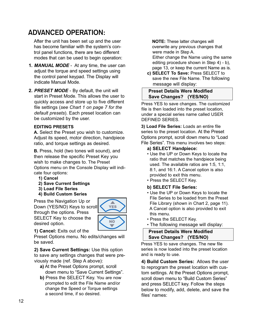## **ADVANCED OPERATION:**

After the unit has been set up and the user has become familiar with the system's control panel functions, there are two different modes that can be used to begin operation:

- **1.** *MANUAL MODE* At any time, the user can adjust the torque and speed settings using the control panel keypad. The Display will indicate Manual Mode.
- **2.** *PRESET MODE* By default, the unit will start in Preset Mode. This allows the user to quickly access and store up to five different file settings (*see Chart 1 on page 7 for the default presets*). Each preset location can be customized by the user.

#### **EDITING PRESETS**

**A.** Select the Preset you wish to customize. Adjust its speed, motor direction, handpiece ratio, and torque settings as desired.

**B.** Press, hold (two tones will sound), and then release the specific Preset Key you wish to make changes to. The Preset Options menu on the Console Display will indicate four options:

- **1) Cancel**
- **2) Save Current Settings**
- **3) Load File Series**
- **4) Build Custom Series**

Press the Navigation Up or Down (YES/NO) Keys to scroll through the options. Press SELECT Key to choose the desired option.



**1) Cancel:** Exits out of the

Preset Options menu. No edits/changes will be saved.

**2) Save Current Settings:** Use this option to save any settings changes that were previously made (ref. Step A above):

- **a)** At the Preset Options prompt, scroll down menu to "Save Current Settings".
- **b)** Press the SELECT Key. You are now prompted to edit the File Name and/or change the Speed or Torque settings a second time, if so desired.

**NOTE:** These latter changes will overwrite any previous changes that were made in Step A.

Either change the Name using the same editing procedure shown in Step 4) - b), page 13, or keep the current Name as is.

**c) SELECT To Save:** Press SELECT to save the new File Name. The following message will display:

#### **Preset Details Were Modified Save Changes? (YES/NO)**

Press YES to save changes. The customized file is then loaded into the preset location, under a special series name called USER DEFINED SERIES.

**3) Load File Series:** Loads an entire file series to the preset location. At the Preset Options prompt, scroll down menu to "Load File Series". This menu involves two steps:

#### **a) SELECT Handpiece:**

- Use the UP or Down Keys to locate the ratio that matches the handpiece being used. The available ratios are 1:5, 1:1, 8:1, and 16:1. A Cancel option is also provided to exit this menu.
- Press the SELECT Key.

#### **b) SELECT File Series:**

- Use the UP or Down Keys to locate the File Series to be loaded from the Preset File Library (shown in Chart 2, page 11). A Cancel option is also provided to exit this menu.
- Press the SELECT Key.
- The following message will display:

**Preset Details Were Modified Save Changes? (YES/NO)**

Press YES to save changes. The new file series is now loaded into the preset location and is ready to use.

**4) Build Custom Series:** Allows the user to reprogram the preset location with custom settings. At the Preset Options prompt, scroll down menu to "Build Custom Series" and press SELECT key. Follow the steps below to modify, add, delete, and save the files' names: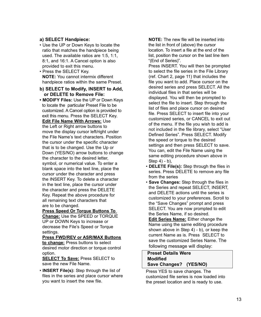#### **a) SELECT Handpiece:**

- Use the UP or Down Keys to locate the ratio that matches the handpiece being used. The available ratios are 1:5, 1:1, 8:1, and 16:1. A Cancel option is also provided to exit this menu.
- Press the SELECT Key. **NOTE:** You cannot intermix different handpiece ratios within the same Preset.

#### **b) SELECT to Modify, INSERT to Add, or DELETE to Remove File:**

**• MODIFY Files:** Use the UP or Down Keys to locate the particular Preset File to be customized. A Cancel option is provided to exit this menu. Press the SELECT Key. **Edit File Name With Arrows:** Use the Left or Right arrow buttons to move the display cursor left/right under the File Name's text characters. Position the cursor under the specific character that is to be changed. Use the Up or Down (YES/NO) arrow buttons to change the character to the desired letter, symbol, or numerical value. To enter a blank space into the text line, place the cursor under the character and press the INSERT Key. To delete a character in the text line, place the cursor under the character and press the DELETE Key. Repeat the above procedure for all remaining text characters that are to be changed.

#### **Press Speed Or Torque Buttons To**

**Change:** Use the SPEED or TORQUE UP or DOWN Keys to increase or decrease the File's Speed or Torque settings.

#### **Press FWD/REV or ASR/MAX Buttons to change:** Press buttons to select

desired motor direction or torque control option.

**SELECT To Save:** Press SELECT to save the new File Name.

• **INSERT File(s):** Step through the list of files in the series and place cursor where you want to insert the new file.

**NOTE:** The new file will be inserted into the list in front of (above) the cursor location. To insert a file at the end of the list, position the cursor on the last line item "(End of Series)".

Press INSERT. You will then be prompted to select the file series in the File Library (ref. Chart 2, page 11) that includes the file you want to add. Place cursor on the desired series and press SELECT. All the individual files in that series will be displayed. You will then be prompted to select the file to insert. Step through the list of files and place cursor on desired file. Press SELECT to insert file into your customized series, or CANCEL to exit out of the menu. If the file you wish to add is not included in the file library, select "User Defined Series". Press SELECT. Modify the speed or torque to the desired settings and then press SELECT to save. You can, edit the File Name using the same editing procedure shown above in Step 4) - b),

- **DELETE File(s):** Step through the files in series. Press DELETE to remove any file from the series
- **Save Changes:** Step through the files in the Series and repeat SELECT, INSERT, and DELETE actions until the series is customized to your preferences. Scroll to the "Save Changes" prompt and press SELECT. You are now prompted to edit the Series Name, if so desired.

**Edit Series Name:** Either change the Name using the same editing procedure shown above in Step 4) - b), or keep the current Name as is. Press SELECT to save the customized Series Name. The following message will display:

#### **Preset Details Were Modified Save Changes? (YES/NO)**

Press YES to save changes. The customized file series is now loaded into the preset location and is ready to use.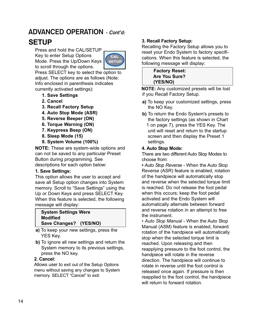## **ADVANCED OPERATION - Cont'd:**

## **SETUP**

Press and hold the CAL/SETUP Key to enter Setup Options Mode. Press the Up/Down Keys to scroll through the options.



Press SELECT key to select the option to adjust. The options are as follows (Note: Info enclosed in parenthesis indicates currently activated settings):

- **1. Save Settings**
- **2. Cancel**
- **3. Recall Factory Setup**
- **4. Auto Stop Mode (ASR)**
- **5. Reverse Beeper (ON)**
- **6. Torque Warning (ON)**
- **7. Keypress Beep (ON)**
- **8. Sleep Mode (15)**
- **9. System Volume (100%)**

**NOTE:** These are system-wide options and can not be saved to any particular Preset Button during programming. See descriptions for each option below:

#### **1. Save Settings:**

This option allows the user to accept and save all Setup option changes into System memory. Scroll to "Save Settings" using the Up or Down Keys and press SELECT Key. When this feature is selected, the following message will display:

#### **System Settings Were Modified Save Changes? (YES/NO)**

- **a)** To keep your new settings, press the YES Key.
- **b)** To ignore all new settings and return the System memory to its previous settings, press the NO key.

#### **2. Cancel:**

Allows user to exit out of the Setup Options menu without saving any changes to System memory. SELECT "Cancel" to exit.

#### **3. Recall Factory Setup:**

Recalling the Factory Setup allows you to reset your Endo System to factory specifications. When this feature is selected, the following message will display:

> **Factory Reset: Are You Sure? (YES/NO)**

**NOTE:** Any customized presets will be lost if you Recall Factory Setup.

- **a)** To keep your customized settings, press the NO Key.
- **b)** To return the Endo System's presets to the factory settings (as shown in Chart 1 on page 7), press the YES Key. The unit will reset and return to the startup screen and then display the Preset 1 settings.

#### **4. Auto Stop Mode:**

There are two different Auto Stop Modes to choose from:

**•** *Auto Stop Reverse -* When the Auto Stop Reverse (ASR) feature is enabled, rotation of the handpiece will automatically stop and reverse when the selected torque limit is reached. Do not release the foot pedal when this occurs; keep the foot pedal activated and the Endo System will automatically alternate between forward and reverse rotation in an attempt to free the instrument.

• *Auto Stop Manual* - When the Auto Stop Manual (ASM) feature is enabled, forward rotation of the handpiece will automatically stop when the selected torque limit is reached. Upon releasing and then reapplying pressure to the foot control, the handpiece will rotate in the reverse direction. The handpiece will continue to rotate in reverse until the foot control is released once again. If pressure is then reapplied to the foot control, the handpiece will return to forward rotation.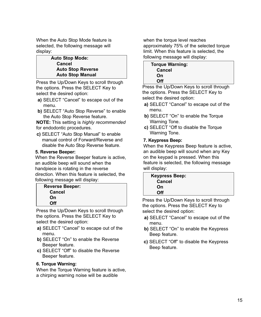When the Auto Stop Mode feature is selected, the following message will display:

> **Auto Stop Mode: Cancel Auto Stop Reverse Auto Stop Manual**

Press the Up/Down Keys to scroll through the options. Press the SELECT Key to select the desired option:

- **a)** SELECT "Cancel" to escape out of the menu.
- **b)** SELECT "Auto Stop Reverse" to enable the Auto Stop Reverse feature.

**NOTE:** This setting is *highly recommended* for endodontic procedures.

**c)** SELECT "Auto Stop Manual" to enable manual control of Forward/Reverse and disable the Auto Stop Reverse feature.

#### **5. Reverse Beeper:**

When the Reverse Beeper feature is active, an audible beep will sound when the handpiece is rotating in the reverse direction. When this feature is selected, the following message will display:

| <b>Reverse Beeper:</b> |  |
|------------------------|--|
| Cancel                 |  |
| On                     |  |
| Off                    |  |

Press the Up/Down Keys to scroll through the options. Press the SELECT Key to select the desired option:

- **a)** SELECT "Cancel" to escape out of the menu.
- **b)** SELECT "On" to enable the Reverse Beeper feature.
- **c)** SELECT "Off" to disable the Reverse Beeper feature.

#### **6. Torque Warning:**

When the Torque Warning feature is active, a chirping warning noise will be audible

when the torque level reaches approximately 75% of the selected torque limit. When this feature is selected, the following message will display:

| <b>Torque Warning:</b><br>Cancel |  |   |  |
|----------------------------------|--|---|--|
| On                               |  |   |  |
| Off                              |  |   |  |
| --                               |  | . |  |

Press the Up/Down Keys to scroll through the options. Press the SELECT Key to select the desired option:

- **a)** SELECT "Cancel" to escape out of the menu.
- **b)** SELECT "On" to enable the Torque Warning Tone.
- **c)** SELECT "Off to disable the Torque Warning Tone.

#### **7. Keypress Beep:**

When the Keypress Beep feature is active, an audible beep will sound when any Key on the keypad is pressed. When this feature is selected, the following message will display:

| <b>Keypress Beep:</b> |  |
|-----------------------|--|
| Cancel                |  |
| On                    |  |
| Off                   |  |

Press the Up/Down Keys to scroll through the options. Press the SELECT Key to select the desired option:

- **a)** SELECT "Cancel" to escape out of the menu.
- **b)** SELECT "On" to enable the Keypress Beep feature.
- **c)** SELECT "Off" to disable the Keypress Beep feature.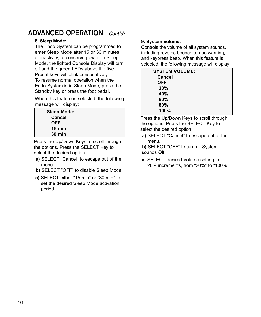## **ADVANCED OPERATION - Cont'd:**

#### **8. Sleep Mode:**

The Endo System can be programmed to enter Sleep Mode after 15 or 30 minutes of inactivity, to conserve power. In Sleep Mode, the lighted Console Display will turn off and the green LEDs above the five Preset keys will blink consecutively. To resume normal operation when the Endo System is in Sleep Mode, press the Standby key or press the foot pedal.

When this feature is selected, the following message will display:

| <b>Sleep Mode:</b> |  |
|--------------------|--|
| Cancel             |  |
| <b>OFF</b>         |  |
| $15 \text{ min}$   |  |
| $30 \text{ min}$   |  |

Press the Up/Down Keys to scroll through the options. Press the SELECT Key to select the desired option:

- **a)** SELECT "Cancel" to escape out of the menu.
- **b)** SELECT "OFF" to disable Sleep Mode.
- **c)** SELECT either "15 min" or "30 min" to set the desired Sleep Mode activation period.

#### **9. System Volume:**

Controls the volume of all system sounds, including reverse beeper, torque warning, and keypress beep. When this feature is selected, the following message will display:

| <b>SYSTEM VOLUME:</b> |  |
|-----------------------|--|
| Cancel                |  |
| <b>OFF</b>            |  |
| 20%                   |  |
| 40%                   |  |
| 60%                   |  |
| 80%                   |  |
| 100%                  |  |

Press the Up/Down Keys to scroll through the options. Press the SELECT Key to select the desired option:

- **a)** SELECT "Cancel" to escape out of the menu.
- **b)** SELECT "OFF" to turn all System sounds Off.
- **c)** SELECT desired Volume setting, in 20% increments, from "20%" to "100%".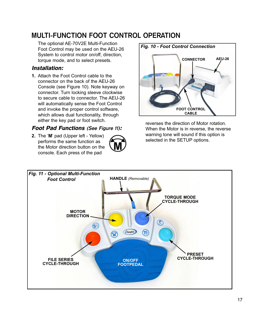## **MULTI-FUNCTION FOOT CONTROL OPERATION**

The optional AE-70V2E Multi-Function Foot Control may be used on the AEU-26 System to control motor on/off, direction, torque mode, and to select presets.

#### Installation:

**1.** Attach the Foot Control cable to the connector on the back of the AEU-26 Console (see Figure 10). Note keyway on connector. Turn locking sleeve clockwise to secure cable to connector. The AEU-26 will automatically sense the Foot Control and invoke the proper control software, which allows dual functionality, through either the key pad or foot switch.

#### Foot Pad Functions **(See Figure 11)**:

**2.** The '**M**' pad (Upper left - Yellow) performs the same function as the Motor direction button on the console. Each press of the pad





reverses the direction of Motor rotation. When the Motor is in reverse, the reverse warning tone will sound if this option is selected in the SETUP options.

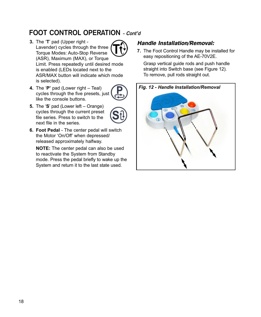## **FOOT CONTROL OPERATION** - Cont'd

**3.** The '**T**' pad (Upper right - Lavender) cycles through the three Torque Modes: Auto-Stop Reverse (ASR), Maximum (MAX), or Torque Limit. Press repeatedly until desired mode is enabled (LEDs located next to the ASR/MAX button will indicate which mode is selected).





**5.** The '**S**' pad (Lower left – Orange) cycles through the current preset file series. Press to switch to the next file in the series.



**6. Foot Pedal** - The center pedal will switch the Motor 'On/Off' when depressed/ released approximately halfway.

**NOTE:** The center pedal can also be used to reactivate the System from Standby mode. Press the pedal briefly to wake up the System and return it to the last state used.

#### Handle Installation/Removal:

**7.** The Foot Control Handle may be installed for easy repositioning of the AE-70V2E.

Grasp vertical guide rods and push handle straight into Switch base (see Figure 12). To remove, pull rods straight out.

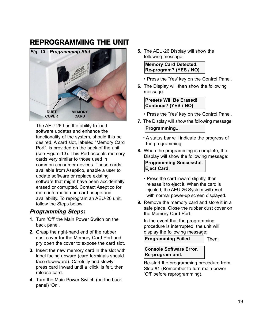## REPROGRAMMING THE UNIT



The AEU-26 has the ability to load software updates and enhance the functionality of the system, should this be desired. A card slot, labeled "Memory Card Port", is provided on the back of the unit (see Figure 13). This Port accepts memory cards very similar to those used in common consumer devices. These cards, available from Aseptico, enable a user to update software or replace existing software that might have been accidentally erased or corrupted. Contact Aseptico for more information on card usage and availability. To reprogram an AEU-26 unit, follow the Steps below:

#### Programming Steps:

- **1.** Turn 'Off' the Main Power Switch on the back panel.
- **2.** Grasp the right-hand end of the rubber dust cover for the Memory Card Port and pry open the cover to expose the card slot.
- **3.** Insert the new memory card in the slot with label facing upward (card terminals should face downward). Carefully and slowly press card inward until a 'click' is felt, then release card.
- **4.** Turn the Main Power Switch (on the back panel) 'On'.

**5.** The AEU-26 Display will show the following message:

**Memory Card Detected. Re-program? (YES / NO)**

- Press the 'Yes' key on the Control Panel.
- **6.** The Display will then show the following message:

**Presets Will Be Erased! Continue? (YES / NO)**

- Press the 'Yes' key on the Control Panel.
- **7.** The Display will show the following message: **Programming...**
	- A status bar will indicate the progress of the programming.
- **8.** When the programming is complete, the Display will show the following message:

**Programming Successful. Eject Card.**

- Press the card inward slightly, then release it to eject it. When the card is ejected, the AEU-26 System will reset with normal power-up screen displayed.
- **9.** Remove the memory card and store it in a safe place. Close the rubber dust cover on the Memory Card Port.

In the event that the programming procedure is interrupted, the unit will display the following message:

**Programming Failed**

Then:

**Console Software Error. Re-program unit.**

Re-start the programming procedure from Step #1 (Remember to turn main power 'Off' before reprogramming).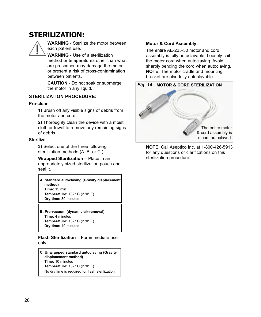## STERILIZATION:



**WARNING** - Sterilize the motor between each patient use.

**WARNING** - Use of a sterilization method or temperatures other than what are prescribed may damage the motor or present a risk of cross-contamination between patients.

**CAUTION** - Do not soak or submerge the motor in any liquid.

#### **STERILIZATION PROCEDURE:**

#### **Pre-clean**

**1)** Brush off any visible signs of debris from the motor and cord.

**2)** Thoroughly clean the device with a moist cloth or towel to remove any remaining signs of debris.

#### **Sterilize**

**3)** Select one of the three following sterilization methods (A. B. or C.):

**Wrapped Sterilization** – Place in an appropriately sized sterilization pouch and seal it.

**A. Standard autoclaving (Gravity displacement method) Time:** 15 min **Temperature:** 132° C (270° F) **Dry time:** 30 minutes

**B. Pre-vacuum (dynamic-air-removal) Time:** 4 minutes **Temperature:** 132° C (270° F) **Dry time:** 40 minutes

**Flash Sterilization** – For immediate use only.

**C**. **Unwrapped standard autoclaving (Gravity displacement method) Time:** 10 minutes **Temperature:** 132° C (270° F) No dry time is required for flash sterilization.

#### **Motor & Cord Assembly:**

The entire AE-225-30 motor and cord assembly is fully autoclavable. Loosely coil the motor cord when autoclaving. Avoid sharply bending the cord when autoclaving. **NOTE:** The motor cradle and mounting bracket are also fully autoclavable.



**NOTE:** Call Aseptico Inc. at 1-800-426-5913 for any questions or clarifications on this sterilization procedure.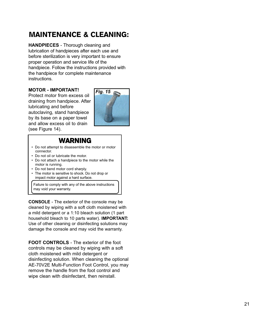## MAINTENANCE & CLEANING:

**HANDPIECES** - Thorough cleaning and lubrication of handpieces after each use and before sterilization is very important to ensure proper operation and service life of the handpiece. Follow the instructions provided with the handpiece for complete maintenance instructions.

#### **MOTOR - IMPORTANT!**

Protect motor from excess oil draining from handpiece. After lubricating and before autoclaving, stand handpiece by its base on a paper towel and allow excess oil to drain (see Figure 14).



#### WARNING

- Do not attempt to disassemble the motor or motor connector.
- Do not oil or lubricate the motor.
- Do not attach a handpiece to the motor while the motor is running.
- Do not bend motor cord sharply.
- The motor is sensitive to shock. Do not drop or impact motor against a hard surface.

Failure to comply with any of the above instructions may void your warranty.

**CONSOLE** - The exterior of the console may be cleaned by wiping with a soft cloth moistened with a mild detergent or a 1:10 bleach solution (1 part household bleach to 10 parts water). **IMPORTANT:** Use of other cleaning or disinfecting solutions may damage the console and may void the warranty.

**FOOT CONTROLS** - The exterior of the foot controls may be cleaned by wiping with a soft cloth moistened with mild detergent or disinfecting solution. When cleaning the optional AE-70V2E Multi-Function Foot Control, you may remove the handle from the foot control and wipe clean with disinfectant, then reinstall.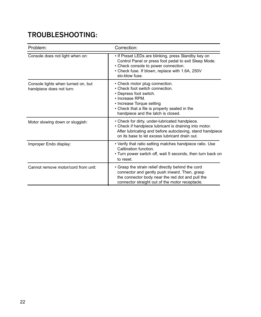## **TROUBLESHOOTING:**

| Problem:                                                       | Correction:                                                                                                                                                                                                                        |
|----------------------------------------------------------------|------------------------------------------------------------------------------------------------------------------------------------------------------------------------------------------------------------------------------------|
| Console does not light when on:                                | • If Preset LEDs are blinking, press Standby key on<br>Control Panel or press foot pedal to exit Sleep Mode.<br>• Check console to power connection.<br>• Check fuse. If blown, replace with 1.6A, 250V<br>slo-blow fuse.          |
| Console lights when turned on, but<br>handpiece does not turn: | • Check motor plug connection.<br>• Check foot switch connection.<br>• Depress foot switch.<br>• Increase RPM.<br>• Increase Torque setting<br>• Check that a file is properly seated in the<br>handpiece and the latch is closed. |
| Motor slowing down or sluggish:                                | • Check for dirty, under-lubricated handpiece.<br>• Check if handpiece lubricant is draining into motor.<br>After lubricating and before autoclaving, stand handpiece<br>on its base to let excess lubricant drain out.            |
| Improper Endo display:                                         | • Verify that ratio setting matches handpiece ratio. Use<br>Calibration function.<br>• Turn power switch off, wait 5 seconds, then turn back on<br>to reset.                                                                       |
| Cannot remove motor/cord from unit:                            | • Grasp the strain relief directly behind the cord<br>connector and gently push inward. Then, grasp<br>the connector body near the red dot and pull the<br>connector straight out of the motor receptacle.                         |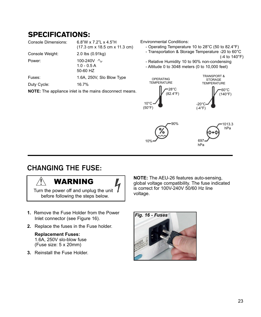## SPECIFICATIONS:

| <b>Console Dimensions:</b>                                      | 6.8"W x 7.2"L x 4.5"H<br>$(17.3 \text{ cm} \times 18.5 \text{ cm} \times 11.3 \text{ cm})$ |  |  |
|-----------------------------------------------------------------|--------------------------------------------------------------------------------------------|--|--|
| Console Weight:                                                 | $2.0$ lbs $(0.91$ kg)                                                                      |  |  |
| Power:                                                          | 100-240V $\sim$<br>$1.0 - 0.5 A$<br>50-60 HZ                                               |  |  |
| Fuses:                                                          | 1.6A, 250V, Slo Blow Type                                                                  |  |  |
| Duty Cycle:                                                     | 16.7%                                                                                      |  |  |
| <b>NOTE:</b> The appliance inlet is the mains disconnect means. |                                                                                            |  |  |

Environmental Conditions:

- Operating Temperature 10 to 28°C (50 to 82.4°F)
- Transportation & Storage Temperature -20 to 60°C

(-4 to 140°F)

- Relative Humidity 10 to 90% non-condensing
- Altitude 0 to 3048 meters (0 to 10,000 feet)



## **CHANGING THE FUSE:**

## WARNING



Turn the power off and unplug the unit before following the steps below.

- **1.** Remove the Fuse Holder from the Power Inlet connector (see Figure 16).
- **2.** Replace the fuses in the Fuse holder.

#### **Replacement Fuses:** 1.6A, 250V slo-blow fuse (Fuse size: 5 x 20mm)

**3.** Reinstall the Fuse Holder.

**NOTE:** The AEU-26 features auto-sensing, global voltage compatibility. The fuse indicated is correct for 100V-240V 50/60 Hz line voltage.

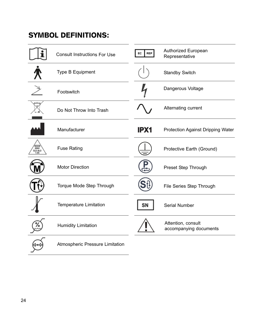## SYMBOL DEFINITIONS:

|                 | <b>Consult Instructions For Use</b> | <b>REP</b><br>EC | Authorized European<br>Representative        |
|-----------------|-------------------------------------|------------------|----------------------------------------------|
|                 | Type B Equipment                    |                  | <b>Standby Switch</b>                        |
|                 | Footswitch                          |                  | Dangerous Voltage                            |
|                 | Do Not Throw Into Trash             |                  | Alternating current                          |
|                 | Manufacturer                        | IPX1             | Protection Against Dripping Water            |
| 250V<br>SLO-BLO | <b>Fuse Rating</b>                  |                  | Protective Earth (Ground)                    |
|                 | <b>Motor Direction</b>              |                  | Preset Step Through                          |
|                 | Torque Mode Step Through            |                  | File Series Step Through                     |
|                 | Temperature Limitation              | SN               | Serial Number                                |
|                 | <b>Humidity Limitation</b>          |                  | Attention, consult<br>accompanying documents |
|                 | Atmospheric Pressure Limitation     |                  |                                              |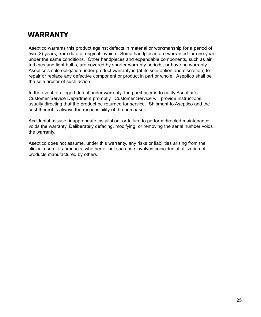## **WARRANTY**

Aseptico warrants this product against defects in material or workmanship for a period of two (2) years, from date of original invoice. Some handpieces are warranted for one year under the same conditions. Other handpieces and expendable components, such as air turbines and light bulbs, are covered by shorter warranty periods, or have no warranty. Aseptico's sole obligation under product warranty is (at its sole option and discretion) to repair or replace any defective component or product in part or whole. Aseptico shall be the sole arbiter of such action.

In the event of alleged defect under warranty, the purchaser is to notify Aseptico's Customer Service Department promptly. Customer Service will provide instructions, usually directing that the product be returned for service. Shipment to Aseptico and the cost thereof is always the responsibility of the purchaser.

Accidental misuse, inappropriate installation, or failure to perform directed maintenance voids the warranty. Deliberately defacing, modifying, or removing the serial number voids the warranty.

Aseptico does not assume, under this warranty, any risks or liabilities arising from the clinical use of its products, whether or not such use involves coincidental utilization of products manufactured by others.